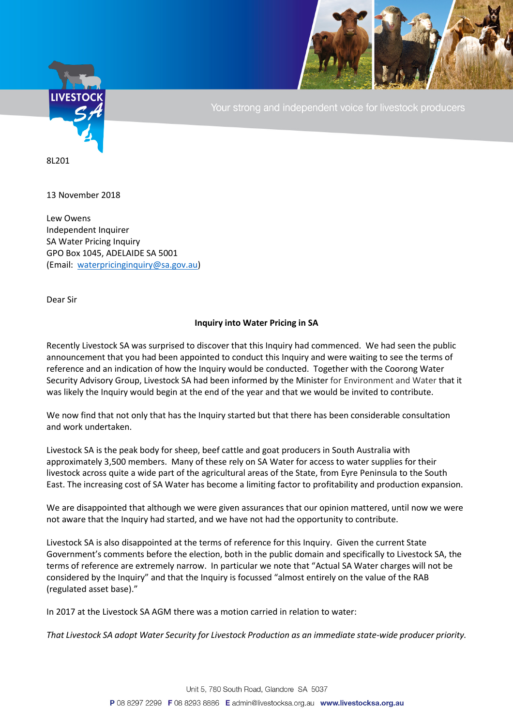

Your strong and independent voice for livestock producers

8L201

13 November 2018

Lew Owens Independent Inquirer SA Water Pricing Inquiry GPO Box 1045, ADELAIDE SA 5001 (Email: [waterpricinginquiry@sa.gov.au\)](mailto:waterpricinginquiry@sa.gov.au)

Dear Sir

## **Inquiry into Water Pricing in SA**

Recently Livestock SA was surprised to discover that this Inquiry had commenced. We had seen the public announcement that you had been appointed to conduct this Inquiry and were waiting to see the terms of reference and an indication of how the Inquiry would be conducted. Together with the Coorong Water Security Advisory Group, Livestock SA had been informed by the Minister for Environment and Water that it was likely the Inquiry would begin at the end of the year and that we would be invited to contribute.

We now find that not only that has the Inquiry started but that there has been considerable consultation and work undertaken.

Livestock SA is the peak body for sheep, beef cattle and goat producers in South Australia with approximately 3,500 members. Many of these rely on SA Water for access to water supplies for their livestock across quite a wide part of the agricultural areas of the State, from Eyre Peninsula to the South East. The increasing cost of SA Water has become a limiting factor to profitability and production expansion.

We are disappointed that although we were given assurances that our opinion mattered, until now we were not aware that the Inquiry had started, and we have not had the opportunity to contribute.

Livestock SA is also disappointed at the terms of reference for this Inquiry. Given the current State Government's comments before the election, both in the public domain and specifically to Livestock SA, the terms of reference are extremely narrow. In particular we note that "Actual SA Water charges will not be considered by the Inquiry" and that the Inquiry is focussed "almost entirely on the value of the RAB (regulated asset base)."

In 2017 at the Livestock SA AGM there was a motion carried in relation to water:

*That Livestock SA adopt Water Security for Livestock Production as an immediate state-wide producer priority.*